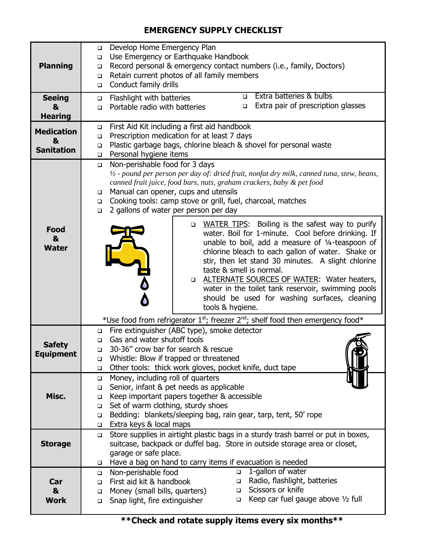## **EMERGENCY SUPPLY CHECKLIST**

| <b>Planning</b>                             | Develop Home Emergency Plan<br>$\Box$<br>Use Emergency or Earthquake Handbook<br>$\Box$<br>Record personal & emergency contact numbers (i.e., family, Doctors)<br>$\Box$<br>Retain current photos of all family members<br>$\Box$<br>Conduct family drills<br>o.                                                                                                                                                                                                     |
|---------------------------------------------|----------------------------------------------------------------------------------------------------------------------------------------------------------------------------------------------------------------------------------------------------------------------------------------------------------------------------------------------------------------------------------------------------------------------------------------------------------------------|
| <b>Seeing</b><br>&<br><b>Hearing</b>        | Extra batteries & bulbs<br>$\Box$<br>Flashlight with batteries<br>$\Box$<br>Extra pair of prescription glasses<br>$\Box$<br>Portable radio with batteries<br>$\Box$                                                                                                                                                                                                                                                                                                  |
| <b>Medication</b><br>&<br><b>Sanitation</b> | First Aid Kit including a first aid handbook<br>$\Box$<br>Prescription medication for at least 7 days<br>$\Box$<br>Plastic garbage bags, chlorine bleach & shovel for personal waste<br>$\Box$<br>Personal hygiene items<br>$\Box$                                                                                                                                                                                                                                   |
| <b>Food</b>                                 | Non-perishable food for 3 days<br>$\Box$<br>$\frac{1}{2}$ - pound per person per day of: dried fruit, nonfat dry milk, canned tuna, stew, beans,<br>canned fruit juice, food bars, nuts, graham crackers, baby & pet food<br>Manual can opener, cups and utensils<br>$\Box$<br>Cooking tools: camp stove or grill, fuel, charcoal, matches<br>$\Box$<br>2 gallons of water per person per day<br>$\Box$<br>WATER TIPS: Boiling is the safest way to purify<br>$\Box$ |
| &<br><b>Water</b>                           | water. Boil for 1-minute. Cool before drinking. If<br>unable to boil, add a measure of 1/4-teaspoon of<br>chlorine bleach to each gallon of water. Shake or<br>stir, then let stand 30 minutes. A slight chlorine<br>taste & smell is normal.<br><b>ALTERNATE SOURCES OF WATER: Water heaters,</b><br>$\Box$<br>water in the toilet tank reservoir, swimming pools<br>should be used for washing surfaces, cleaning<br>tools & hygiene.                              |
|                                             | *Use food from refrigerator $1st$ ; freezer $2nd$ ; shelf food then emergency food*                                                                                                                                                                                                                                                                                                                                                                                  |
| <b>Safety</b><br>Equipment                  | Fire extinguisher (ABC type), smoke detector<br>$\Box$<br>Gas and water shutoff tools<br><b>□</b><br>30-36" crow bar for search & rescue<br>$\Box$<br>Whistle: Blow if trapped or threatened<br>❏<br>Other tools: thick work gloves, pocket knife, duct tape<br>$\Box$                                                                                                                                                                                               |
| Misc.                                       | Money, including roll of quarters<br>$\Box$<br>Senior, infant & pet needs as applicable<br>$\Box$<br>Keep important papers together & accessible<br>$\Box$<br>Set of warm clothing, sturdy shoes<br>$\Box$<br>Bedding: blankets/sleeping bag, rain gear, tarp, tent, 50' rope<br>$\Box$<br>Extra keys & local maps<br>$\Box$                                                                                                                                         |
| <b>Storage</b>                              | Store supplies in airtight plastic bags in a sturdy trash barrel or put in boxes,<br>$\Box$<br>suitcase, backpack or duffel bag. Store in outside storage area or closet,<br>garage or safe place.<br>Have a bag on hand to carry items if evacuation is needed<br>□                                                                                                                                                                                                 |
| Car<br>&<br><b>Work</b>                     | 1-gallon of water<br>Non-perishable food<br>$\Box$<br>$\Box$<br>Radio, flashlight, batteries<br>First aid kit & handbook<br>$\Box$<br>$\Box$<br>Scissors or knife<br>Money (small bills, quarters)<br>$\Box$<br>$\Box$<br>Keep car fuel gauge above 1/2 full<br>Snap light, fire extinguisher<br>$\Box$<br>$\Box$                                                                                                                                                    |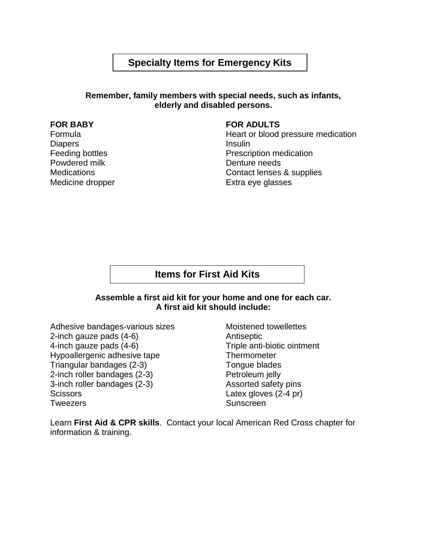## **Specialty Items for Emergency Kits**

#### **Remember, family members with special needs, such as infants, elderly and disabled persons.**

### **FOR BABY**

Formula **Diapers** Feeding bottles Powdered milk **Medications** Medicine dropper

#### **FOR ADULTS**

Heart or blood pressure medication Insulin Prescription medication Denture needs Contact lenses & supplies Extra eye glasses

### **Items for First Aid Kits**

#### **Assemble a first aid kit for your home and one for each car. A first aid kit should include:**

Adhesive bandages-various sizes 2-inch gauze pads (4-6) 4-inch gauze pads (4-6) Hypoallergenic adhesive tape Triangular bandages (2-3) 2-inch roller bandages (2-3) 3-inch roller bandages (2-3) **Scissors Tweezers** 

Moistened towellettes Antiseptic Triple anti-biotic ointment **Thermometer** Tongue blades Petroleum jelly Assorted safety pins Latex gloves (2-4 pr) **Sunscreen** 

Learn **First Aid & CPR skills**. Contact your local American Red Cross chapter for information & training.